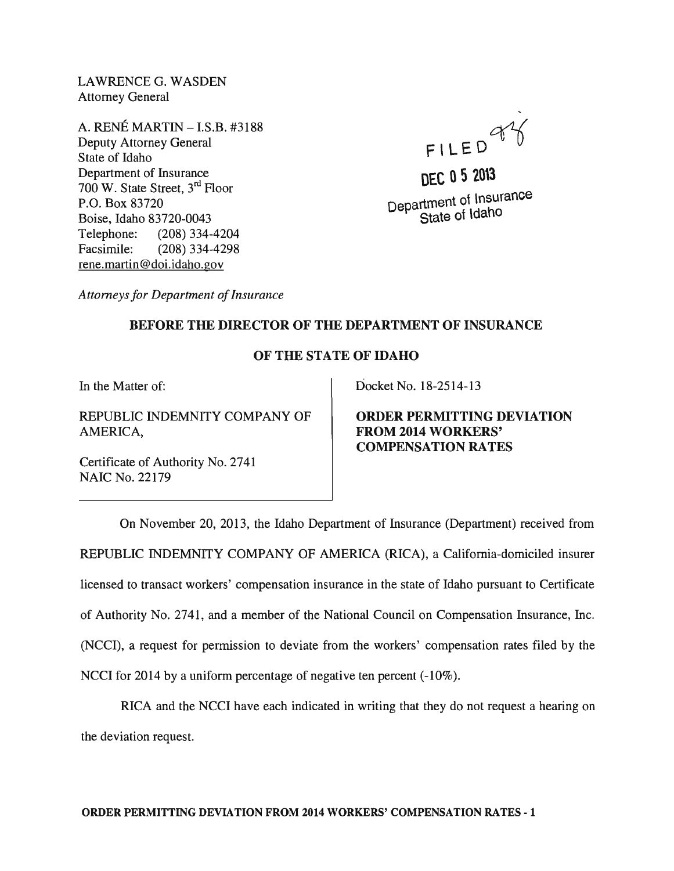LAWRENCEG. WASDEN Attorney General

A. RENE MARTIN - I.S.B. #3188 Deputy Attorney General State of Idaho Department of Insurance 700 W. State Street, 3rd Floor P.O. Box 83720 Boise, Idaho 83720-0043 Telephone: (208) 334-4204 Facsimile: (208) 334-4298 rene.martin@doi.idaho.gov



**DEC 0520\3**  Department of Insurance State of Idaho

*Attorneys for Department of Insurance* 

## BEFORE THE DIRECTOR OF THE DEPARTMENT OF INSURANCE

## OF THE STATE OF IDAHO

In the Matter of:

REPUBLIC INDEMNITY COMPANY OF AMERICA,

Docket No. 18-2514-13

ORDER PERMITTING DEVIATION FROM 2014 WORKERS' COMPENSATION RATES

Certificate of Authority No. 2741 NAIC No. 22179

On November 20, 2013, the Idaho Department of Insurance (Department) received from REPUBLIC INDEMNITY COMPANY OF AMERICA (RICA), a California-domiciled insurer licensed to transact workers' compensation insurance in the state of Idaho pursuant to Certificate of Authority No. 2741, and a member of the National Council on Compensation Insurance, Inc. (NCCI), a request for permission to deviate from the workers' compensation rates filed by the NCCI for 2014 by a uniform percentage of negative ten percent  $(-10\%)$ .

RICA and the NCCI have each indicated in writing that they do not request a hearing on the deviation request.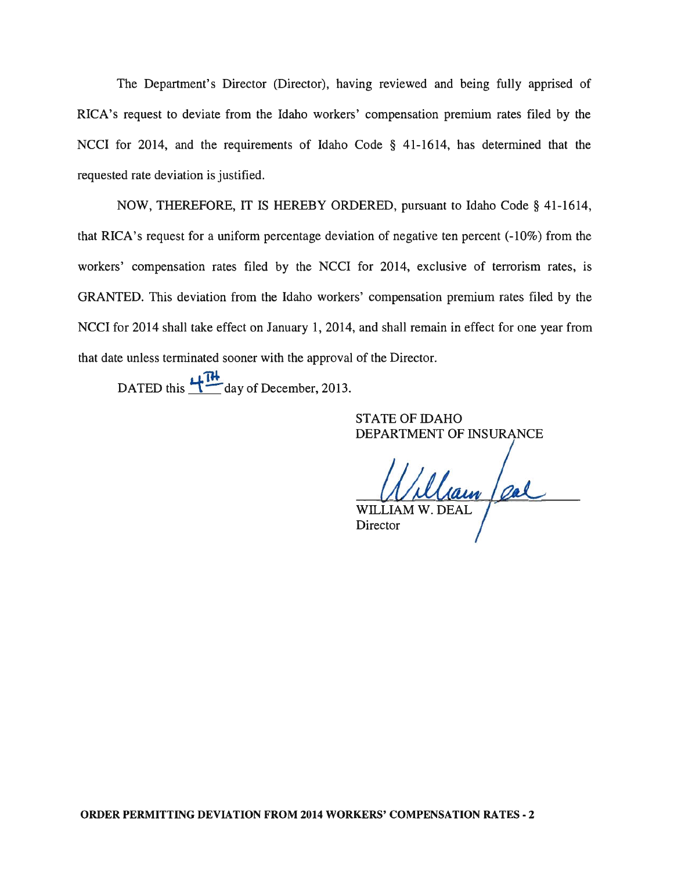The Department's Director (Director), having reviewed and being fully apprised of RICA's request to deviate from the Idaho workers' compensation premium rates filed by the NCCI for 2014, and the requirements of Idaho Code § 41-1614, has determined that the requested rate deviation is justified.

NOW, THEREFORE, IT IS HEREBY ORDERED, pursuant to Idaho Code § 41-1614, that RICA's request for a uniform percentage deviation of negative ten percent (-10%) from the workers' compensation rates filed by the NCCI for 2014, exclusive of terrorism rates, is GRANTED. This deviation from the Idaho workers' compensation premium rates filed by the NCCI for 2014 shall take effect on January 1, 2014, and shall remain in effect for one year from that date unless terminated sooner with the approval of the Director.

DATED this  $\frac{12}{11}$  day of December, 2013.

STATE OF IDAHO DEPARTMENT OF INSURANCE

William / pal